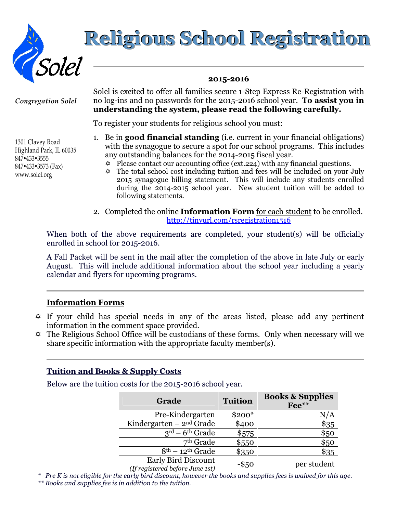

# Religious School Registration

#### 2015-2016

Congregation Solel

1301 Clavey Road Highland Park, IL 60035 847-433-3555 847-433-3573 (Fax) www.solel.org

Solel is excited to offer all families secure 1-Step Express Re-Registration with no log-ins and no passwords for the 2015-2016 school year. To assist you in understanding the system, please read the following carefully.

To register your students for religious school you must:

- 1. Be in **good financial standing** (i.e. current in your financial obligations) with the synagogue to secure a spot for our school programs. This includes any outstanding balances for the 2014-2015 fiscal year.
	- $\ddot{\phi}$  Please contact our accounting office (ext.224) with any financial questions.
	- $\hat{\varphi}$  The total school cost including tuition and fees will be included on your July 2015 synagogue billing statement. This will include any students enrolled during the 2014-2015 school year. New student tuition will be added to following statements.
- 2. Completed the online **Information Form** for each student to be enrolled. http://tinyurl.com/rsregistration1516

When both of the above requirements are completed, your student(s) will be officially enrolled in school for 2015-2016.

A Fall Packet will be sent in the mail after the completion of the above in late July or early August. This will include additional information about the school year including a yearly calendar and flyers for upcoming programs.

## Information Forms

- $\hat{\varphi}$  If your child has special needs in any of the areas listed, please add any pertinent information in the comment space provided.
- $\hat{\varphi}$  The Religious School Office will be custodians of these forms. Only when necessary will we share specific information with the appropriate faculty member(s).

## Tuition and Books & Supply Costs

Below are the tuition costs for the 2015-2016 school year.

| Grade                                 | <b>Tuition</b> | <b>Books &amp; Supplies</b><br>Fee** |
|---------------------------------------|----------------|--------------------------------------|
| Pre-Kindergarten                      | $$200*$        | N/A                                  |
| Kindergarten $-2^{nd}$ Grade          | \$400          | \$35                                 |
| $3^{\text{rd}} - 6^{\text{th}}$ Grade | \$575          | \$50                                 |
| $7th$ Grade                           | \$550          | \$50                                 |
| $8th - 12th$ Grade                    | \$350          | \$35                                 |
| Early Bird Discount                   | $-S50$         | ner student                          |

 $(If registered before June 1st)$ 

\* Pre K is not eligible for the early bird discount, however the books and supplies fees is waived for this age. \*\* Books and supplies fee is in addition to the tuition.